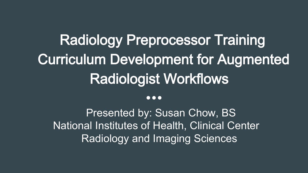## Radiology Preprocessor Training Curriculum Development for Augmented Radiologist Workflows

#### $\bullet \bullet \bullet$

Presented by: Susan Chow, BS National Institutes of Health, Clinical Center Radiology and Imaging Sciences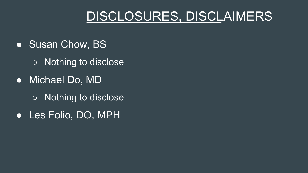### DISCLOSURES, DISCLAIMERS

- Susan Chow, BS
	- Nothing to disclose
- Michael Do, MD
	- Nothing to disclose
- Les Folio, DO, MPH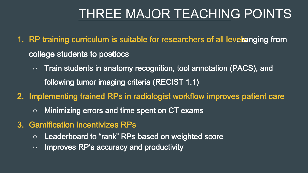### THREE MAJOR TEACHING POINTS

- 1. RP training curriculum is suitable for researchers of all levelanging from college students to posdocs
	- Train students in anatomy recognition, tool annotation (PACS), and following tumor imaging criteria (RECIST 1.1)
- 2. Implementing trained RPs in radiologist workflow improves patient care
	- Minimizing errors and time spent on CT exams
- 3. Gamification incentivizes RPs
	- Leaderboard to "rank" RPs based on weighted score
	- Improves RP's accuracy and productivity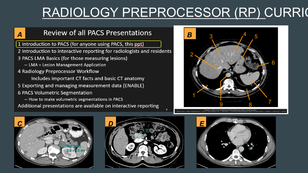## RADIOLOGY PREPROCESSOR (RP) CURRIC

### **A B** Review of all PACS Presentations **B**

1 Introduction to PACS (for anyone using PACS, this ppt)

- 2 Introduction to interactive reporting for radiologists and residents
- 3 PACS LMA Basics (for those measuring lesions)
	- LMA = Lesion Management Application
- 4 Radiology Preprocessor Workflow

Includes important CT facts and basic CT anatomy

- 5 Exporting and managing measurement data (ENABLE)
- 6 PACS Volumetric Segmentation
- How to make volumetric segmentations in PACS Additional presentations are available on interactive reporting







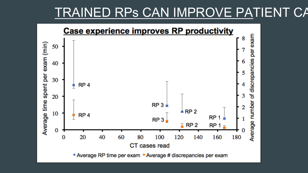### TRAINED RPs CAN IMPROVE PATIENT CA

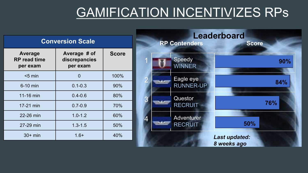### GAMIFICATION INCENTIVIZES RPs

| <b>Conversion Scale</b>                    |                                           |              | <b>Leaderboard</b><br><b>RP Contenders</b><br><b>Score</b> |                                     |
|--------------------------------------------|-------------------------------------------|--------------|------------------------------------------------------------|-------------------------------------|
| Average<br><b>RP</b> read time<br>per exam | Average # of<br>discrepancies<br>per exam | <b>Score</b> | Speedy<br><b>WINNER</b>                                    | 90%                                 |
| $<$ 5 min                                  | $\mathbf 0$                               | 100%         | Eagle eye                                                  |                                     |
| 6-10 min                                   | $0.1 - 0.3$                               | 90%          | <b>RUNNER-UP</b>                                           | 84%                                 |
| 11-16 min                                  | $0.4 - 0.6$                               | 80%          | <b>Questor</b>                                             |                                     |
| 17-21 min                                  | $0.7 - 0.9$                               | 70%          | <b>RECRUIT</b>                                             | 76%                                 |
| 22-26 min                                  | $1.0 - 1.2$                               | 60%          | <b>Adventurer</b><br>4                                     |                                     |
| 27-29 min                                  | $1.3 - 1.5$                               | 50%          | <b>RECRUIT</b>                                             | 50%                                 |
| $30+ min$                                  | $1.6+$                                    | 40%          |                                                            | <b>Last updated:</b><br>8 weeks ago |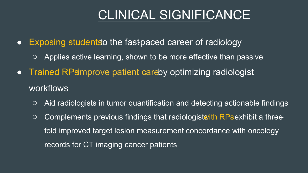### CLINICAL SIGNIFICANCE

- Exposing students the fast-paced career of radiology
	- Applies active learning, shown to be more effective than passive
- Trained RPsimprove patient careby optimizing radiologist workflows
	- Aid radiologists in tumor quantification and detecting actionable findings
	- $\circ$  Complements previous findings that radiologists ith RPs exhibit a threefold improved target lesion measurement concordance with oncology records for CT imaging cancer patients